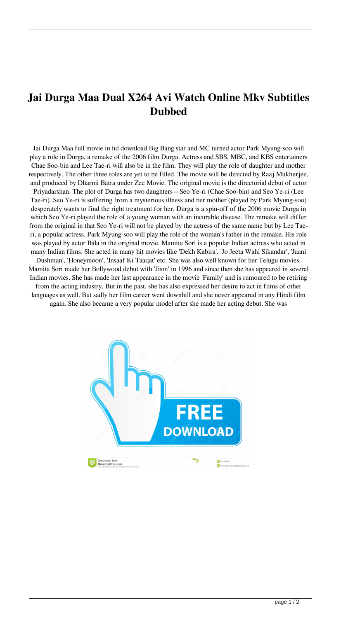## **Jai Durga Maa Dual X264 Avi Watch Online Mkv Subtitles Dubbed**

Jai Durga Maa full movie in hd download Big Bang star and MC turned actor Park Myung-soo will play a role in Durga, a remake of the 2006 film Durga. Actress and SBS, MBC, and KBS entertainers Chae Soo-bin and Lee Tae-ri will also be in the film. They will play the role of daughter and mother respectively. The other three roles are yet to be filled. The movie will be directed by Raaj Mukherjee, and produced by Dharmi Batra under Zee Movie. The original movie is the directorial debut of actor Priyadarshan. The plot of Durga has two daughters – Seo Ye-ri (Chae Soo-bin) and Seo Ye-ri (Lee Tae-ri). Seo Ye-ri is suffering from a mysterious illness and her mother (played by Park Myung-soo) desperately wants to find the right treatment for her. Durga is a spin-off of the 2006 movie Durga in which Seo Ye-ri played the role of a young woman with an incurable disease. The remake will differ from the original in that Seo Ye-ri will not be played by the actress of the same name but by Lee Taeri, a popular actress. Park Myung-soo will play the role of the woman's father in the remake. His role was played by actor Bala in the original movie. Mamita Sori is a popular Indian actress who acted in many Indian films. She acted in many hit movies like 'Dekh Kabira', 'Jo Jeeta Wahi Sikandar', 'Jaani Dushman', 'Honeymoon', 'Insaaf Ki Taaqat' etc. She was also well known for her Telugu movies. Mamita Sori made her Bollywood debut with 'Jism' in 1996 and since then she has appeared in several Indian movies. She has made her last appearance in the movie 'Family' and is rumoured to be retiring from the acting industry. But in the past, she has also expressed her desire to act in films of other languages as well. But sadly her film career went downhill and she never appeared in any Hindi film again. She also became a very popular model after she made her acting debut. She was